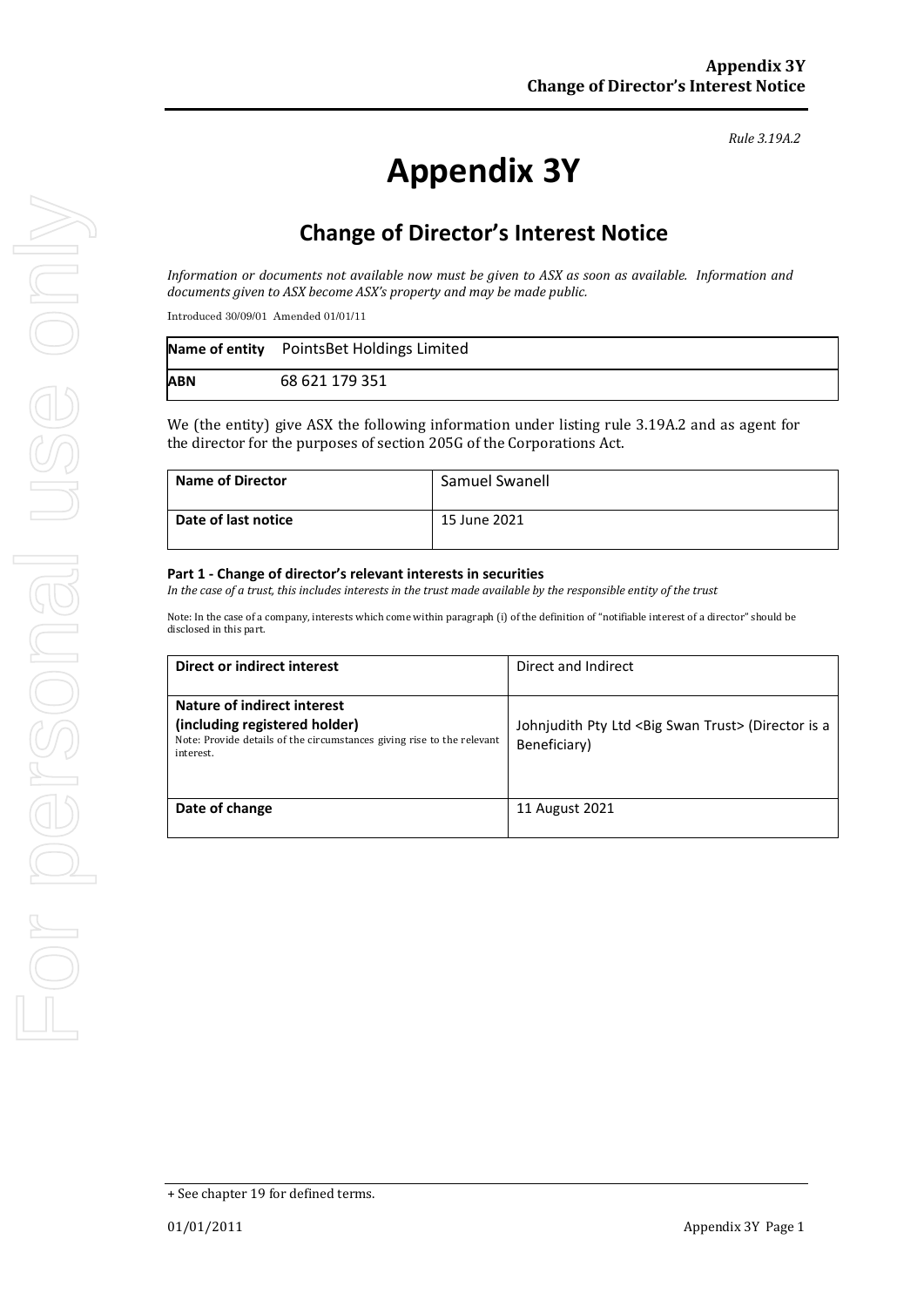# **Appendix 3Y**

# **Change of Director's Interest Notice**

*Information or documents not available now must be given to ASX as soon as available. Information and documents given to ASX become ASX's property and may be made public.*

Introduced 30/09/01 Amended 01/01/11

|            | Name of entity PointsBet Holdings Limited |
|------------|-------------------------------------------|
| <b>ABN</b> | 68 621 179 351                            |

We (the entity) give ASX the following information under listing rule 3.19A.2 and as agent for the director for the purposes of section 205G of the Corporations Act.

| <b>Name of Director</b> | Samuel Swanell |
|-------------------------|----------------|
| Date of last notice     | 15 June 2021   |

#### **Part 1 - Change of director's relevant interests in securities**

*In the case of a trust, this includes interests in the trust made available by the responsible entity of the trust*

Note: In the case of a company, interests which come within paragraph (i) of the definition of "notifiable interest of a director" should be disclosed in this part.

| Direct or indirect interest                                                                                          | Direct and Indirect                                                             |
|----------------------------------------------------------------------------------------------------------------------|---------------------------------------------------------------------------------|
| Nature of indirect interest                                                                                          |                                                                                 |
| (including registered holder)<br>Note: Provide details of the circumstances giving rise to the relevant<br>interest. | Johnjudith Pty Ltd <big swan="" trust=""> (Director is a<br/>Beneficiary)</big> |
| Date of change                                                                                                       | 11 August 2021                                                                  |

*Rule 3.19A.2*

<sup>+</sup> See chapter 19 for defined terms.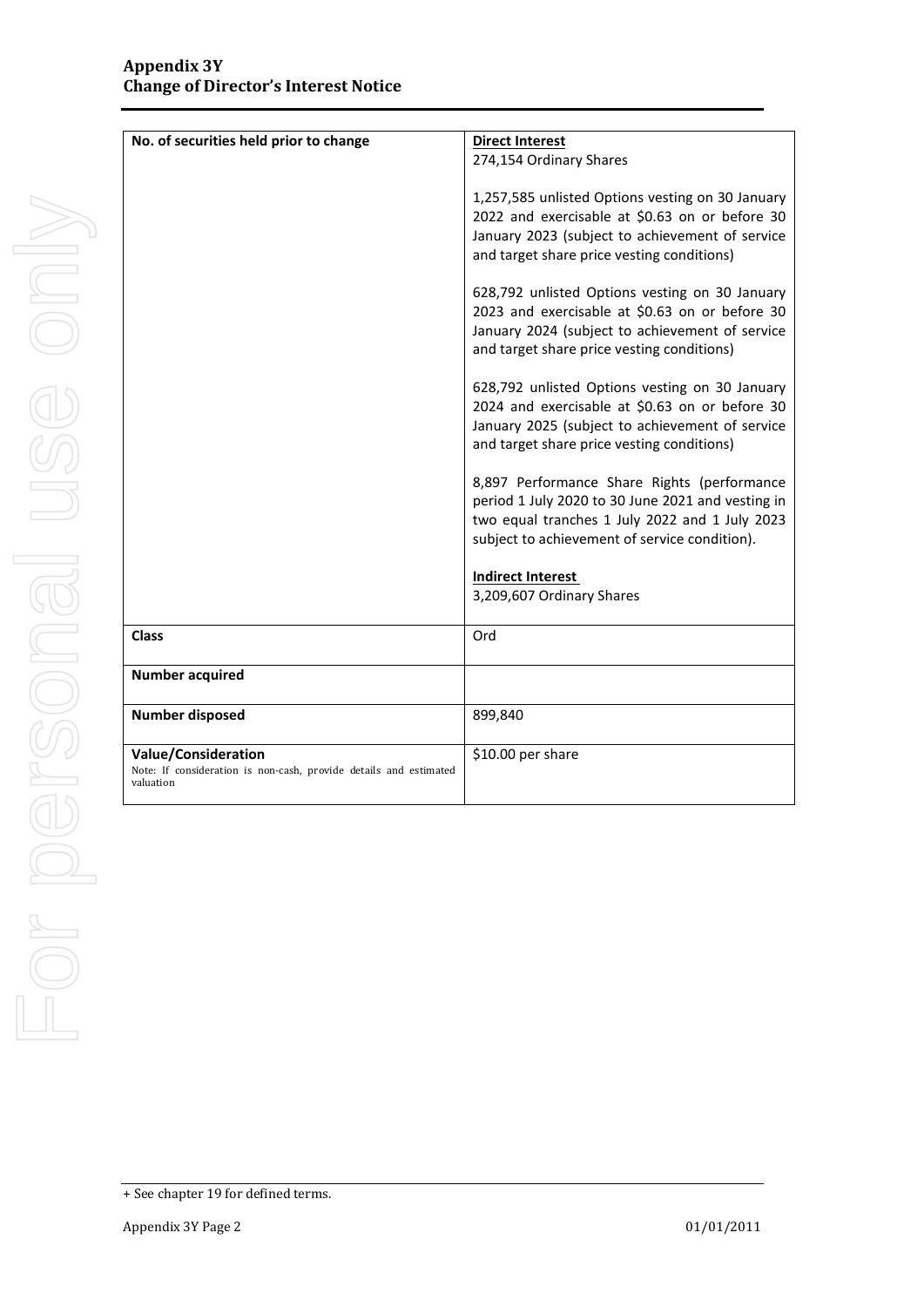| No. of securities held prior to change                                         | <b>Direct Interest</b>                            |
|--------------------------------------------------------------------------------|---------------------------------------------------|
|                                                                                | 274,154 Ordinary Shares                           |
|                                                                                | 1,257,585 unlisted Options vesting on 30 January  |
|                                                                                | 2022 and exercisable at \$0.63 on or before 30    |
|                                                                                | January 2023 (subject to achievement of service   |
|                                                                                | and target share price vesting conditions)        |
|                                                                                | 628,792 unlisted Options vesting on 30 January    |
|                                                                                | 2023 and exercisable at \$0.63 on or before 30    |
|                                                                                | January 2024 (subject to achievement of service   |
|                                                                                | and target share price vesting conditions)        |
|                                                                                | 628,792 unlisted Options vesting on 30 January    |
|                                                                                | 2024 and exercisable at \$0.63 on or before 30    |
|                                                                                | January 2025 (subject to achievement of service   |
|                                                                                | and target share price vesting conditions)        |
|                                                                                | 8,897 Performance Share Rights (performance       |
|                                                                                | period 1 July 2020 to 30 June 2021 and vesting in |
|                                                                                | two equal tranches 1 July 2022 and 1 July 2023    |
|                                                                                | subject to achievement of service condition).     |
|                                                                                | <b>Indirect Interest</b>                          |
|                                                                                | 3,209,607 Ordinary Shares                         |
| <b>Class</b>                                                                   | Ord                                               |
|                                                                                |                                                   |
| <b>Number acquired</b>                                                         |                                                   |
|                                                                                |                                                   |
| <b>Number disposed</b>                                                         | 899,840                                           |
| <b>Value/Consideration</b>                                                     | \$10.00 per share                                 |
| Note: If consideration is non-cash, provide details and estimated<br>valuation |                                                   |
|                                                                                |                                                   |

<sup>+</sup> See chapter 19 for defined terms.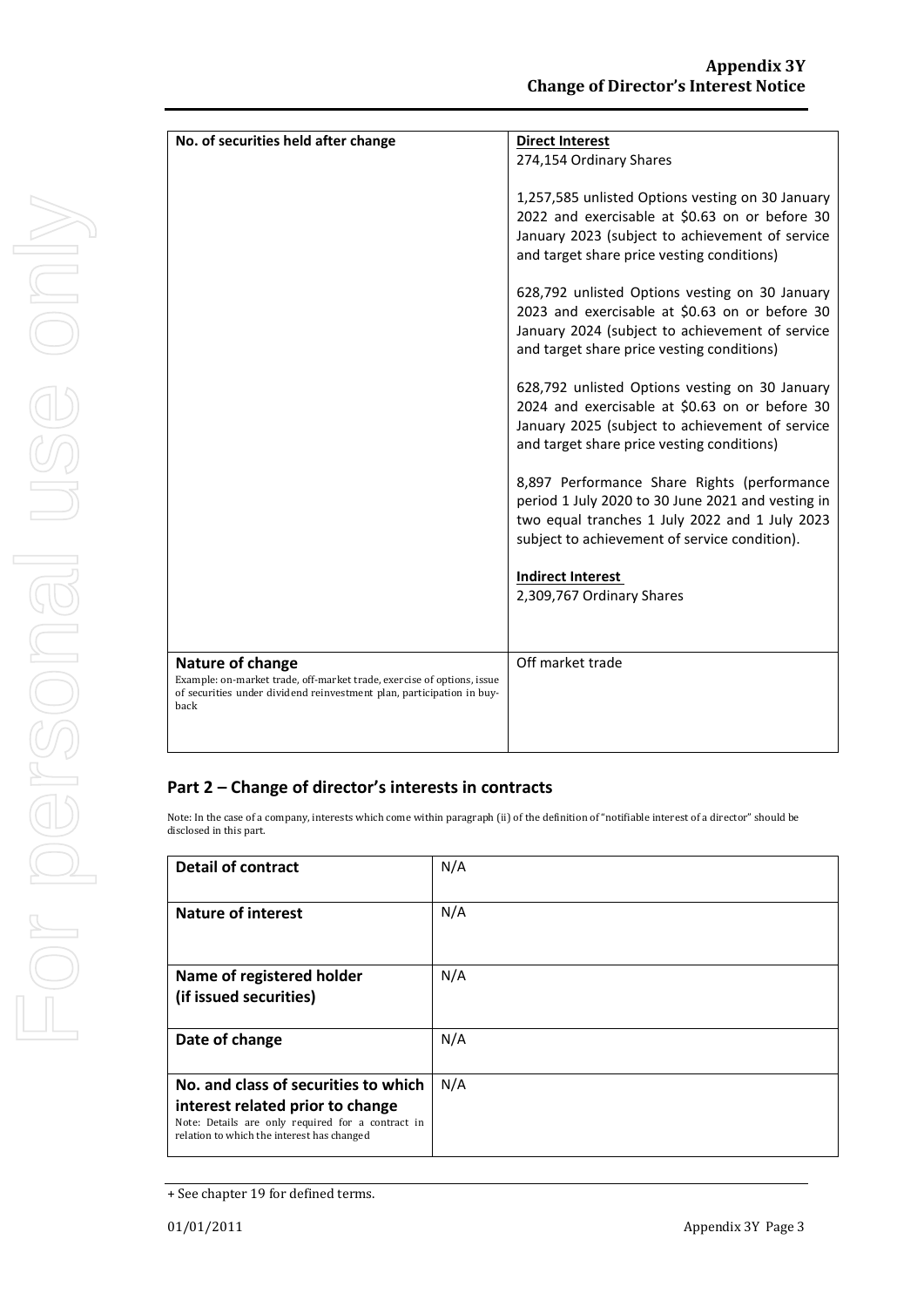| No. of securities held after change                                                                                                             | <b>Direct Interest</b>                            |
|-------------------------------------------------------------------------------------------------------------------------------------------------|---------------------------------------------------|
|                                                                                                                                                 | 274,154 Ordinary Shares                           |
|                                                                                                                                                 |                                                   |
|                                                                                                                                                 | 1,257,585 unlisted Options vesting on 30 January  |
|                                                                                                                                                 | 2022 and exercisable at \$0.63 on or before 30    |
|                                                                                                                                                 |                                                   |
|                                                                                                                                                 | January 2023 (subject to achievement of service   |
|                                                                                                                                                 | and target share price vesting conditions)        |
|                                                                                                                                                 |                                                   |
|                                                                                                                                                 | 628,792 unlisted Options vesting on 30 January    |
|                                                                                                                                                 | 2023 and exercisable at \$0.63 on or before 30    |
|                                                                                                                                                 | January 2024 (subject to achievement of service   |
|                                                                                                                                                 | and target share price vesting conditions)        |
|                                                                                                                                                 |                                                   |
|                                                                                                                                                 |                                                   |
|                                                                                                                                                 | 628,792 unlisted Options vesting on 30 January    |
|                                                                                                                                                 | 2024 and exercisable at \$0.63 on or before 30    |
|                                                                                                                                                 | January 2025 (subject to achievement of service   |
|                                                                                                                                                 | and target share price vesting conditions)        |
|                                                                                                                                                 |                                                   |
|                                                                                                                                                 | 8,897 Performance Share Rights (performance       |
|                                                                                                                                                 | period 1 July 2020 to 30 June 2021 and vesting in |
|                                                                                                                                                 | two equal tranches 1 July 2022 and 1 July 2023    |
|                                                                                                                                                 |                                                   |
|                                                                                                                                                 | subject to achievement of service condition).     |
|                                                                                                                                                 |                                                   |
|                                                                                                                                                 | <b>Indirect Interest</b>                          |
|                                                                                                                                                 | 2,309,767 Ordinary Shares                         |
|                                                                                                                                                 |                                                   |
|                                                                                                                                                 |                                                   |
|                                                                                                                                                 |                                                   |
| Nature of change                                                                                                                                | Off market trade                                  |
| Example: on-market trade, off-market trade, exercise of options, issue<br>of securities under dividend reinvestment plan, participation in buy- |                                                   |
| back                                                                                                                                            |                                                   |
|                                                                                                                                                 |                                                   |
|                                                                                                                                                 |                                                   |

### **Part 2 – Change of director's interests in contracts**

Note: In the case of a company, interests which come within paragraph (ii) of the definition of "notifiable interest of a director" should be disclosed in this part.

| <b>Detail of contract</b>                                                                                                                                                   | N/A |
|-----------------------------------------------------------------------------------------------------------------------------------------------------------------------------|-----|
| <b>Nature of interest</b>                                                                                                                                                   | N/A |
| Name of registered holder<br>(if issued securities)                                                                                                                         | N/A |
| Date of change                                                                                                                                                              | N/A |
| No. and class of securities to which<br>interest related prior to change<br>Note: Details are only required for a contract in<br>relation to which the interest has changed | N/A |

<sup>+</sup> See chapter 19 for defined terms.